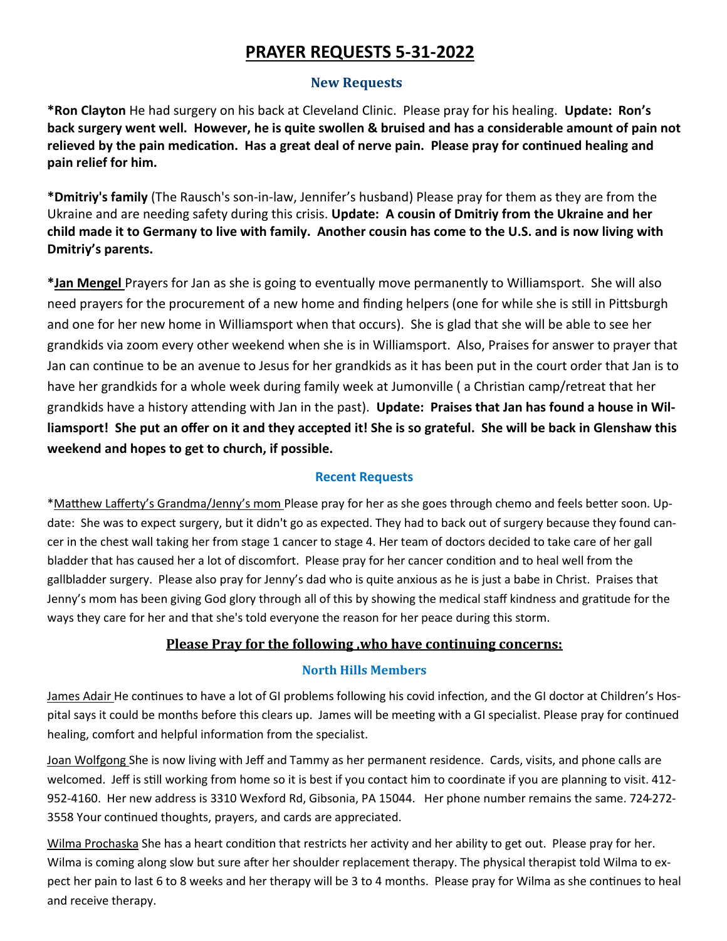# **PRAYER REQUESTS 5-31-2022**

# **New Requests**

**\*Ron Clayton** He had surgery on his back at Cleveland Clinic. Please pray for his healing. **Update: Ron's back surgery went well. However, he is quite swollen & bruised and has a considerable amount of pain not relieved by the pain medication. Has a great deal of nerve pain. Please pray for continued healing and pain relief for him.**

**\*Dmitriy's family** (The Rausch's son-in-law, Jennifer's husband) Please pray for them as they are from the Ukraine and are needing safety during this crisis. **Update: A cousin of Dmitriy from the Ukraine and her child made it to Germany to live with family. Another cousin has come to the U.S. and is now living with Dmitriy's parents.** 

**\*Jan Mengel** Prayers for Jan as she is going to eventually move permanently to Williamsport. She will also need prayers for the procurement of a new home and finding helpers (one for while she is still in Pittsburgh and one for her new home in Williamsport when that occurs). She is glad that she will be able to see her grandkids via zoom every other weekend when she is in Williamsport. Also, Praises for answer to prayer that Jan can continue to be an avenue to Jesus for her grandkids as it has been put in the court order that Jan is to have her grandkids for a whole week during family week at Jumonville ( a Christian camp/retreat that her grandkids have a history attending with Jan in the past). **Update: Praises that Jan has found a house in Williamsport! She put an offer on it and they accepted it! She is so grateful. She will be back in Glenshaw this weekend and hopes to get to church, if possible.**

### **Recent Requests**

\*Matthew Lafferty's Grandma/Jenny's mom Please pray for her as she goes through chemo and feels better soon. Update: She was to expect surgery, but it didn't go as expected. They had to back out of surgery because they found cancer in the chest wall taking her from stage 1 cancer to stage 4. Her team of doctors decided to take care of her gall bladder that has caused her a lot of discomfort. Please pray for her cancer condition and to heal well from the gallbladder surgery. Please also pray for Jenny's dad who is quite anxious as he is just a babe in Christ. Praises that Jenny's mom has been giving God glory through all of this by showing the medical staff kindness and gratitude for the ways they care for her and that she's told everyone the reason for her peace during this storm.

# **Please Pray for the following ,who have continuing concerns:**

#### **North Hills Members**

James Adair He continues to have a lot of GI problems following his covid infection, and the GI doctor at Children's Hospital says it could be months before this clears up. James will be meeting with a GI specialist. Please pray for continued healing, comfort and helpful information from the specialist.

Joan Wolfgong She is now living with Jeff and Tammy as her permanent residence. Cards, visits, and phone calls are welcomed. Jeff is still working from home so it is best if you contact him to coordinate if you are planning to visit. 412- 952-4160. Her new address is 3310 Wexford Rd, Gibsonia, PA 15044. Her phone number remains the same. 724-272- 3558 Your continued thoughts, prayers, and cards are appreciated.

Wilma Prochaska She has a heart condition that restricts her activity and her ability to get out. Please pray for her. Wilma is coming along slow but sure after her shoulder replacement therapy. The physical therapist told Wilma to expect her pain to last 6 to 8 weeks and her therapy will be 3 to 4 months. Please pray for Wilma as she continues to heal and receive therapy.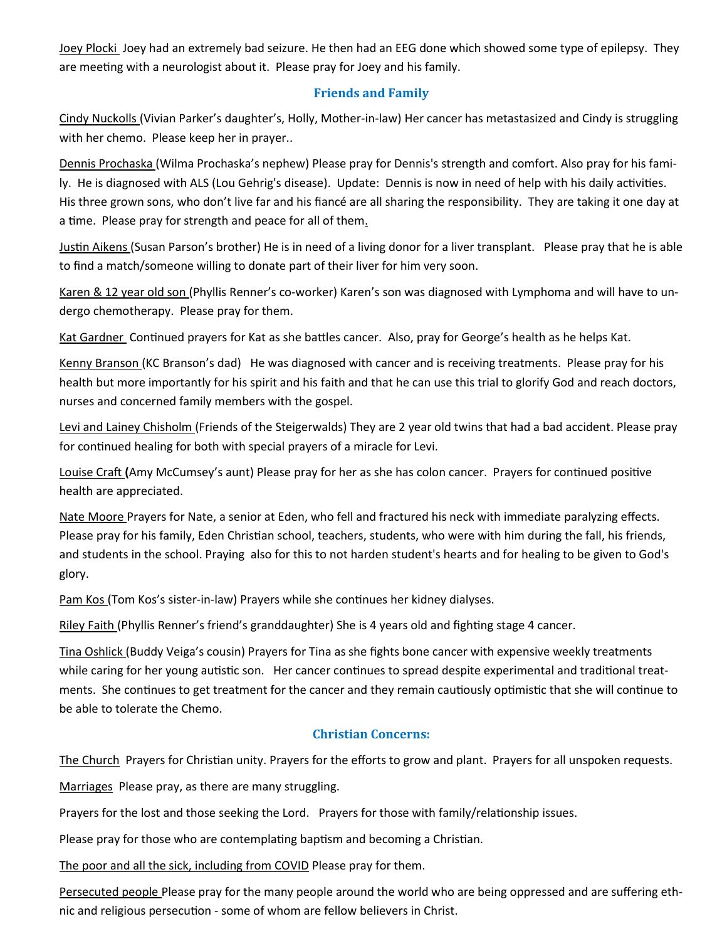Joey Plocki Joey had an extremely bad seizure. He then had an EEG done which showed some type of epilepsy. They are meeting with a neurologist about it. Please pray for Joey and his family.

### **Friends and Family**

Cindy Nuckolls (Vivian Parker's daughter's, Holly, Mother-in-law) Her cancer has metastasized and Cindy is struggling with her chemo. Please keep her in prayer..

Dennis Prochaska (Wilma Prochaska's nephew) Please pray for Dennis's strength and comfort. Also pray for his family. He is diagnosed with ALS (Lou Gehrig's disease). Update: Dennis is now in need of help with his daily activities. His three grown sons, who don't live far and his fiancé are all sharing the responsibility. They are taking it one day at a time. Please pray for strength and peace for all of them.

Justin Aikens (Susan Parson's brother) He is in need of a living donor for a liver transplant. Please pray that he is able to find a match/someone willing to donate part of their liver for him very soon.

Karen & 12 year old son (Phyllis Renner's co-worker) Karen's son was diagnosed with Lymphoma and will have to undergo chemotherapy. Please pray for them.

Kat Gardner Continued prayers for Kat as she battles cancer. Also, pray for George's health as he helps Kat.

Kenny Branson (KC Branson's dad) He was diagnosed with cancer and is receiving treatments. Please pray for his health but more importantly for his spirit and his faith and that he can use this trial to glorify God and reach doctors, nurses and concerned family members with the gospel.

Levi and Lainey Chisholm (Friends of the Steigerwalds) They are 2 year old twins that had a bad accident. Please pray for continued healing for both with special prayers of a miracle for Levi.

Louise Craft **(**Amy McCumsey's aunt) Please pray for her as she has colon cancer. Prayers for continued positive health are appreciated.

Nate Moore Prayers for Nate, a senior at Eden, who fell and fractured his neck with immediate paralyzing effects. Please pray for his family, Eden Christian school, teachers, students, who were with him during the fall, his friends, and students in the school. Praying also for this to not harden student's hearts and for healing to be given to God's glory.

Pam Kos (Tom Kos's sister-in-law) Prayers while she continues her kidney dialyses.

Riley Faith (Phyllis Renner's friend's granddaughter) She is 4 years old and fighting stage 4 cancer.

Tina Oshlick (Buddy Veiga's cousin) Prayers for Tina as she fights bone cancer with expensive weekly treatments while caring for her young autistic son. Her cancer continues to spread despite experimental and traditional treatments. She continues to get treatment for the cancer and they remain cautiously optimistic that she will continue to be able to tolerate the Chemo.

# **Christian Concerns:**

The Church Prayers for Christian unity. Prayers for the efforts to grow and plant. Prayers for all unspoken requests.

Marriages Please pray, as there are many struggling.

Prayers for the lost and those seeking the Lord. Prayers for those with family/relationship issues.

Please pray for those who are contemplating baptism and becoming a Christian.

The poor and all the sick, including from COVID Please pray for them.

Persecuted people Please pray for the many people around the world who are being oppressed and are suffering ethnic and religious persecution - some of whom are fellow believers in Christ.